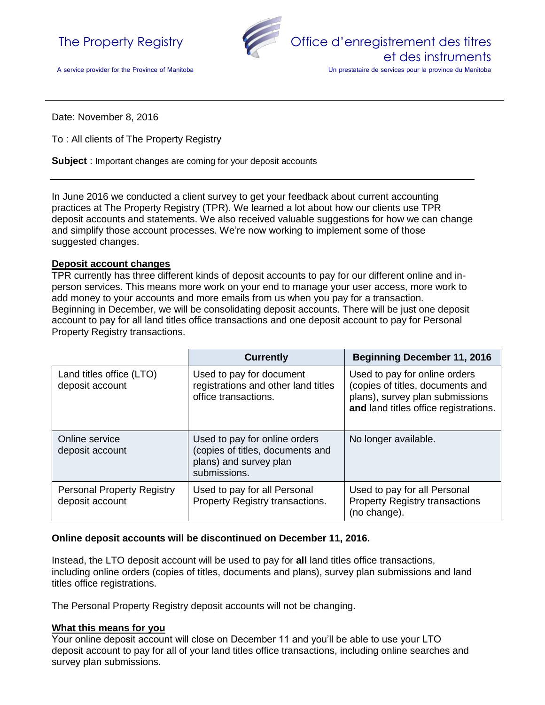



A service provider for the Province of Manitoba

Un prestataire de services pour la province du Manitoba

Date: November 8, 2016

To : All clients of The Property Registry

**Subject** : Important changes are coming for your deposit accounts

In June 2016 we conducted a client survey to get your feedback about current accounting practices at The Property Registry (TPR). We learned a lot about how our clients use TPR deposit accounts and statements. We also received valuable suggestions for how we can change and simplify those account processes. We're now working to implement some of those suggested changes.

#### **Deposit account changes**

TPR currently has three different kinds of deposit accounts to pay for our different online and inperson services. This means more work on your end to manage your user access, more work to add money to your accounts and more emails from us when you pay for a transaction. Beginning in December, we will be consolidating deposit accounts. There will be just one deposit account to pay for all land titles office transactions and one deposit account to pay for Personal Property Registry transactions.

|                                                      | <b>Currently</b>                                                                                            | <b>Beginning December 11, 2016</b>                                                                                                            |
|------------------------------------------------------|-------------------------------------------------------------------------------------------------------------|-----------------------------------------------------------------------------------------------------------------------------------------------|
| Land titles office (LTO)<br>deposit account          | Used to pay for document<br>registrations and other land titles<br>office transactions.                     | Used to pay for online orders<br>(copies of titles, documents and<br>plans), survey plan submissions<br>and land titles office registrations. |
| Online service<br>deposit account                    | Used to pay for online orders<br>(copies of titles, documents and<br>plans) and survey plan<br>submissions. | No longer available.                                                                                                                          |
| <b>Personal Property Registry</b><br>deposit account | Used to pay for all Personal<br>Property Registry transactions.                                             | Used to pay for all Personal<br><b>Property Registry transactions</b><br>(no change).                                                         |

#### **Online deposit accounts will be discontinued on December 11, 2016.**

Instead, the LTO deposit account will be used to pay for **all** land titles office transactions, including online orders (copies of titles, documents and plans), survey plan submissions and land titles office registrations.

The Personal Property Registry deposit accounts will not be changing.

### **What this means for you**

Your online deposit account will close on December 11 and you'll be able to use your LTO deposit account to pay for all of your land titles office transactions, including online searches and survey plan submissions.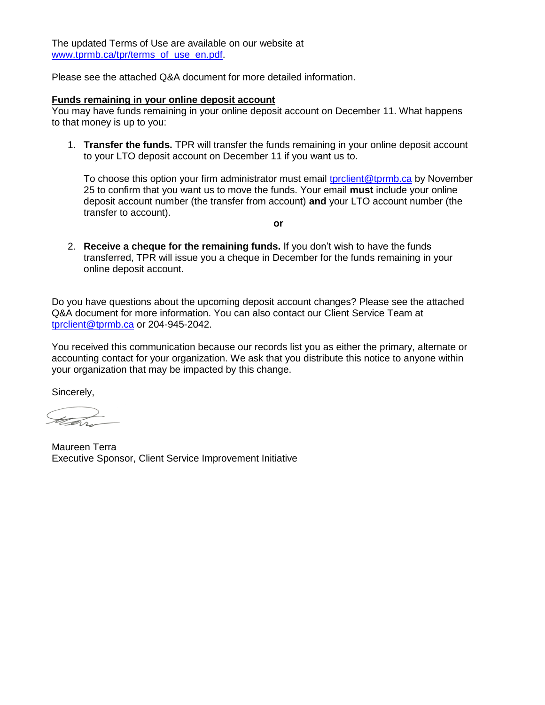The updated Terms of Use are available on our website at [www.tprmb.ca/tpr/terms\\_of\\_use\\_en.pdf.](http://www.tprmb.ca/tpr/terms_of_use_en.pdf)

Please see the attached Q&A document for more detailed information.

### **Funds remaining in your online deposit account**

You may have funds remaining in your online deposit account on December 11. What happens to that money is up to you:

1. **Transfer the funds.** TPR will transfer the funds remaining in your online deposit account to your LTO deposit account on December 11 if you want us to.

To choose this option your firm administrator must email torclient@tprmb.ca by November 25 to confirm that you want us to move the funds. Your email **must** include your online deposit account number (the transfer from account) **and** your LTO account number (the transfer to account).

**or**

2. **Receive a cheque for the remaining funds.** If you don't wish to have the funds transferred, TPR will issue you a cheque in December for the funds remaining in your online deposit account.

Do you have questions about the upcoming deposit account changes? Please see the attached Q&A document for more information. You can also contact our Client Service Team at [tprclient@tprmb.ca](mailto:tprclient@tprmb.ca) or 204-945-2042.

You received this communication because our records list you as either the primary, alternate or accounting contact for your organization. We ask that you distribute this notice to anyone within your organization that may be impacted by this change.

Sincerely,

Maureen Terra Executive Sponsor, Client Service Improvement Initiative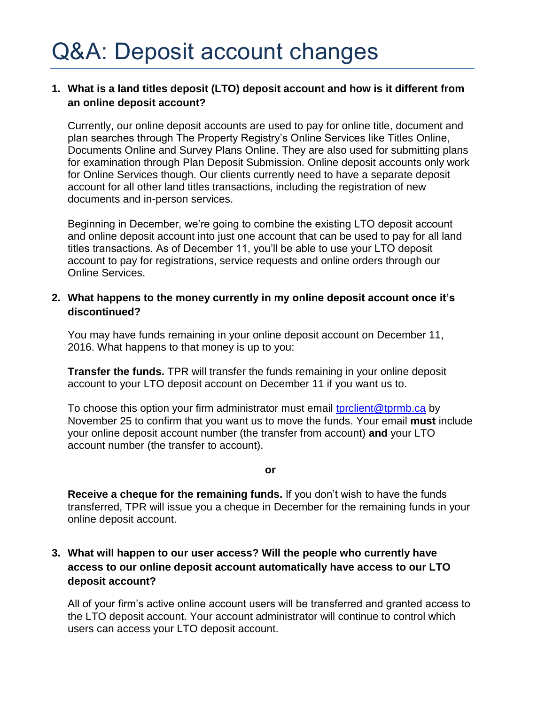## **1. What is a land titles deposit (LTO) deposit account and how is it different from an online deposit account?**

Currently, our online deposit accounts are used to pay for online title, document and plan searches through The Property Registry's Online Services like Titles Online, Documents Online and Survey Plans Online. They are also used for submitting plans for examination through Plan Deposit Submission. Online deposit accounts only work for Online Services though. Our clients currently need to have a separate deposit account for all other land titles transactions, including the registration of new documents and in-person services.

Beginning in December, we're going to combine the existing LTO deposit account and online deposit account into just one account that can be used to pay for all land titles transactions. As of December 11, you'll be able to use your LTO deposit account to pay for registrations, service requests and online orders through our Online Services.

### **2. What happens to the money currently in my online deposit account once it's discontinued?**

You may have funds remaining in your online deposit account on December 11, 2016. What happens to that money is up to you:

**Transfer the funds.** TPR will transfer the funds remaining in your online deposit account to your LTO deposit account on December 11 if you want us to.

To choose this option your firm administrator must email tprolient@tprmb.ca by November 25 to confirm that you want us to move the funds. Your email **must** include your online deposit account number (the transfer from account) **and** your LTO account number (the transfer to account).

**or**

**Receive a cheque for the remaining funds.** If you don't wish to have the funds transferred, TPR will issue you a cheque in December for the remaining funds in your online deposit account.

# **3. What will happen to our user access? Will the people who currently have access to our online deposit account automatically have access to our LTO deposit account?**

All of your firm's active online account users will be transferred and granted access to the LTO deposit account. Your account administrator will continue to control which users can access your LTO deposit account.